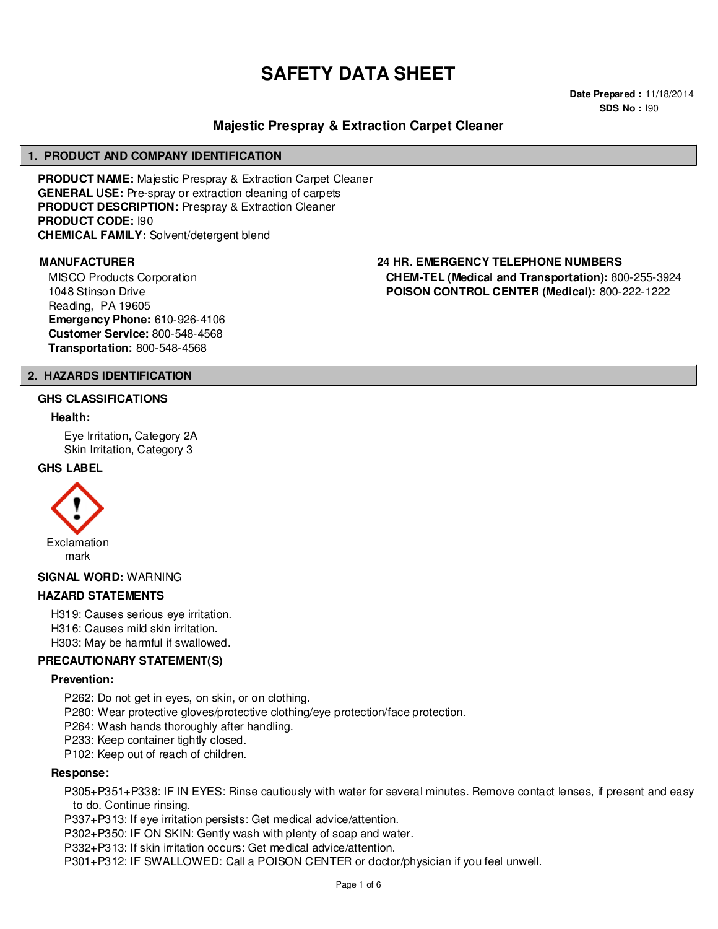# **SAFETY DATA SHEET**

**Date Prepared :** 11/18/2014 **SDS No :** I90

# **Majestic Prespray & Extraction Carpet Cleaner**

#### **1. PRODUCT AND COMPANY IDENTIFICATION**

**PRODUCT NAME:** Majestic Prespray & Extraction Carpet Cleaner **GENERAL USE:** Pre-spray or extraction cleaning of carpets **PRODUCT DESCRIPTION:** Prespray & Extraction Cleaner **PRODUCT CODE:** I90 **CHEMICAL FAMILY:** Solvent/detergent blend

MISCO Products Corporation 1048 Stinson Drive Reading, PA 19605 **Emergency Phone:** 610-926-4106 **Customer Service:** 800-548-4568 **Transportation:** 800-548-4568

#### **MANUFACTURER 24 HR. EMERGENCY TELEPHONE NUMBERS CHEM-TEL (Medical and Transportation):** 800-255-3924

**POISON CONTROL CENTER (Medical):** 800-222-1222

#### **2. HAZARDS IDENTIFICATION**

#### **GHS CLASSIFICATIONS**

#### **Health:**

Eye Irritation, Category 2A Skin Irritation, Category 3

#### **GHS LABEL**



**SIGNAL WORD:** WARNING

#### **HAZARD STATEMENTS**

H319: Causes serious eye irritation. H316: Causes mild skin irritation. H303: May be harmful if swallowed.

#### **PRECAUTIONARY STATEMENT(S)**

#### **Prevention:**

P262: Do not get in eyes, on skin, or on clothing.

P280: Wear protective gloves/protective clothing/eye protection/face protection.

P264: Wash hands thoroughly after handling.

P233: Keep container tightly closed.

P102: Keep out of reach of children.

# **Response:**

P305+P351+P338: IF IN EYES: Rinse cautiously with water for several minutes. Remove contact lenses, if present and easy to do. Continue rinsing.

P337+P313: If eye irritation persists: Get medical advice/attention.

P302+P350: IF ON SKIN: Gently wash with plenty of soap and water.

P332+P313: If skin irritation occurs: Get medical advice/attention.

P301+P312: IF SWALLOWED: Call a POISON CENTER or doctor/physician if you feel unwell.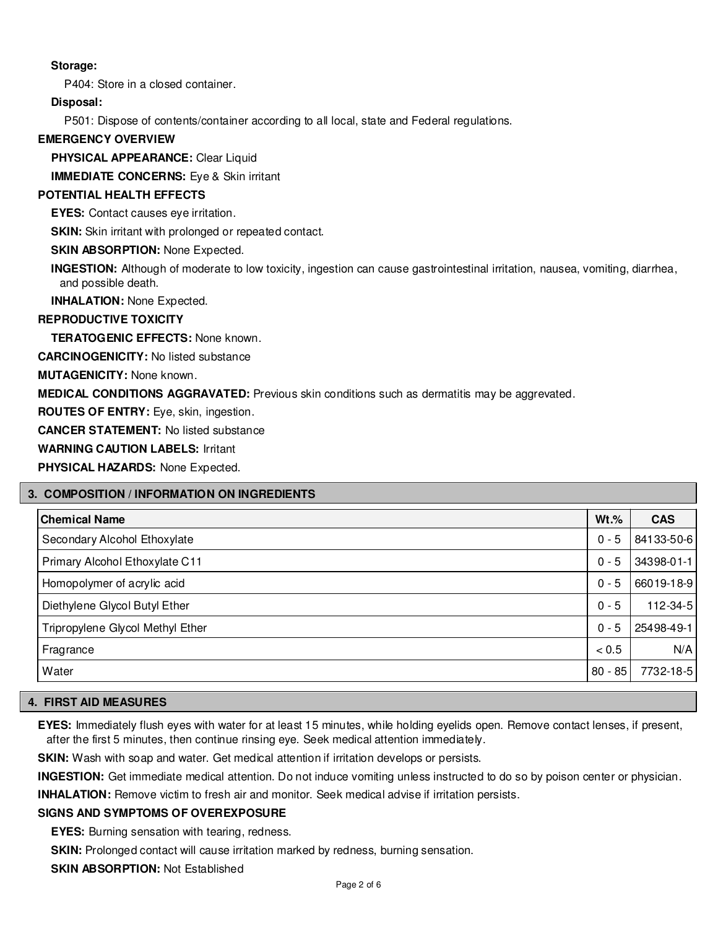# **Storage:**

P404: Store in a closed container.

#### **Disposal:**

P501: Dispose of contents/container according to all local, state and Federal regulations.

#### **EMERGENCY OVERVIEW**

**PHYSICAL APPEARANCE:** Clear Liquid

**IMMEDIATE CONCERNS:** Eye & Skin irritant

# **POTENTIAL HEALTH EFFECTS**

**EYES:** Contact causes eye irritation.

**SKIN:** Skin irritant with prolonged or repeated contact.

**SKIN ABSORPTION:** None Expected.

**INGESTION:** Although of moderate to low toxicity, ingestion can cause gastrointestinal irritation, nausea, vomiting, diarrhea, and possible death.

**INHALATION:** None Expected.

#### **REPRODUCTIVE TOXICITY**

**TERATOGENIC EFFECTS:** None known.

**CARCINOGENICITY:** No listed substance

**MUTAGENICITY:** None known.

**MEDICAL CONDITIONS AGGRAVATED:** Previous skin conditions such as dermatitis may be aggrevated.

**ROUTES OF ENTRY:** Eye, skin, ingestion.

**CANCER STATEMENT:** No listed substance

**WARNING CAUTION LABELS:** Irritant

**PHYSICAL HAZARDS:** None Expected.

#### **3. COMPOSITION / INFORMATION ON INGREDIENTS**

| <b>Chemical Name</b>             | $Wt.\%$   | <b>CAS</b>     |
|----------------------------------|-----------|----------------|
| Secondary Alcohol Ethoxylate     | $0 - 5$   | 84133-50-6     |
| Primary Alcohol Ethoxylate C11   | $0 - 5$   | 34398-01-1     |
| Homopolymer of acrylic acid      | $0 - 5$   | 66019-18-9     |
| Diethylene Glycol Butyl Ether    | $0 - 5$   | $112 - 34 - 5$ |
| Tripropylene Glycol Methyl Ether | $0 - 5$   | 25498-49-1     |
| Fragrance                        | < 0.5     | N/A            |
| Water                            | $80 - 85$ | 7732-18-5      |

### **4. FIRST AID MEASURES**

**EYES:** Immediately flush eyes with water for at least 15 minutes, while holding eyelids open. Remove contact lenses, if present, after the first 5 minutes, then continue rinsing eye. Seek medical attention immediately.

**SKIN:** Wash with soap and water. Get medical attention if irritation develops or persists.

**INGESTION:** Get immediate medical attention. Do not induce vomiting unless instructed to do so by poison center or physician.

**INHALATION:** Remove victim to fresh air and monitor. Seek medical advise if irritation persists.

#### **SIGNS AND SYMPTOMS OF OVEREXPOSURE**

**EYES:** Burning sensation with tearing, redness.

**SKIN:** Prolonged contact will cause irritation marked by redness, burning sensation.

**SKIN ABSORPTION:** Not Established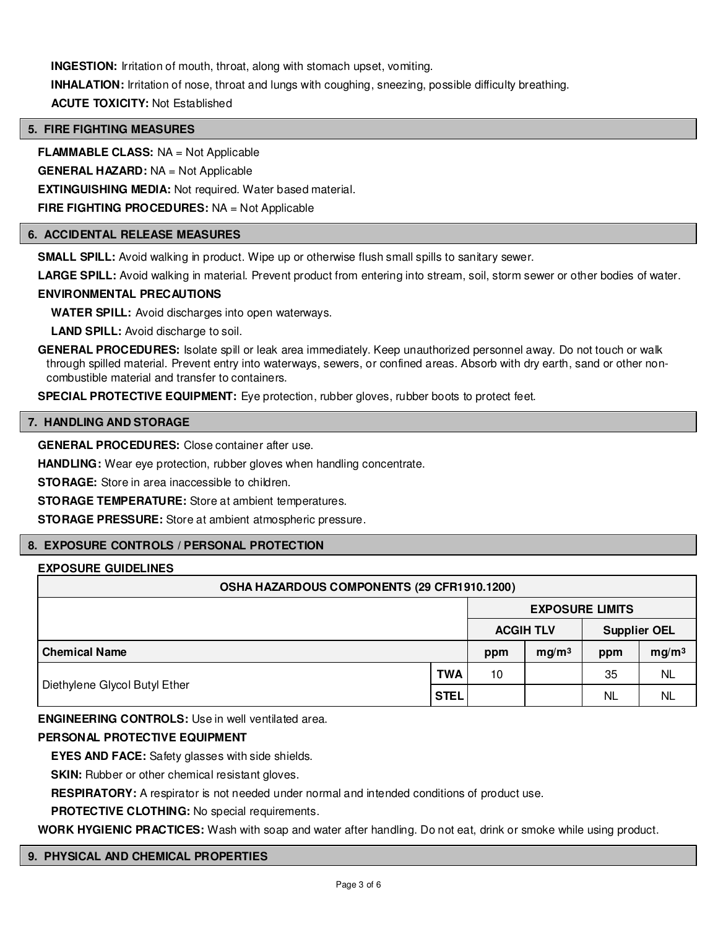**INGESTION:** Irritation of mouth, throat, along with stomach upset, vomiting. **INHALATION:** Irritation of nose, throat and lungs with coughing, sneezing, possible difficulty breathing. **ACUTE TOXICITY:** Not Established

# **5. FIRE FIGHTING MEASURES**

**FLAMMABLE CLASS:** NA = Not Applicable

**GENERAL HAZARD:** NA = Not Applicable

**EXTINGUISHING MEDIA:** Not required. Water based material.

**FIRE FIGHTING PROCEDURES:** NA = Not Applicable

# **6. ACCIDENTAL RELEASE MEASURES**

**SMALL SPILL:** Avoid walking in product. Wipe up or otherwise flush small spills to sanitary sewer.

**LARGE SPILL:** Avoid walking in material. Prevent product from entering into stream, soil, storm sewer or other bodies of water.

#### **ENVIRONMENTAL PRECAUTIONS**

**WATER SPILL:** Avoid discharges into open waterways.

**LAND SPILL:** Avoid discharge to soil.

**GENERAL PROCEDURES:** Isolate spill or leak area immediately. Keep unauthorized personnel away. Do not touch or walk through spilled material. Prevent entry into waterways, sewers, or confined areas. Absorb with dry earth, sand or other noncombustible material and transfer to containers.

**SPECIAL PROTECTIVE EQUIPMENT:** Eye protection, rubber gloves, rubber boots to protect feet.

#### **7. HANDLING AND STORAGE**

**GENERAL PROCEDURES:** Close container after use.

**HANDLING:** Wear eye protection, rubber gloves when handling concentrate.

**STORAGE:** Store in area inaccessible to children.

**STORAGE TEMPERATURE:** Store at ambient temperatures.

**STORAGE PRESSURE:** Store at ambient atmospheric pressure.

#### **8. EXPOSURE CONTROLS / PERSONAL PROTECTION**

#### **EXPOSURE GUIDELINES**

| OSHA HAZARDOUS COMPONENTS (29 CFR1910.1200) |             |                        |                   |                     |                   |
|---------------------------------------------|-------------|------------------------|-------------------|---------------------|-------------------|
|                                             |             | <b>EXPOSURE LIMITS</b> |                   |                     |                   |
|                                             |             | <b>ACGIH TLV</b>       |                   | <b>Supplier OEL</b> |                   |
| <b>Chemical Name</b>                        |             | ppm                    | mg/m <sup>3</sup> | ppm                 | mg/m <sup>3</sup> |
| Diethylene Glycol Butyl Ether               | <b>TWA</b>  | 10                     |                   | 35                  | <b>NL</b>         |
|                                             | <b>STEL</b> |                        |                   | NL                  | NL                |

**ENGINEERING CONTROLS:** Use in well ventilated area.

#### **PERSONAL PROTECTIVE EQUIPMENT**

**EYES AND FACE:** Safety glasses with side shields.

**SKIN:** Rubber or other chemical resistant gloves.

**RESPIRATORY:** A respirator is not needed under normal and intended conditions of product use.

**PROTECTIVE CLOTHING:** No special requirements.

**WORK HYGIENIC PRACTICES:** Wash with soap and water after handling. Do not eat, drink or smoke while using product.

#### **9. PHYSICAL AND CHEMICAL PROPERTIES**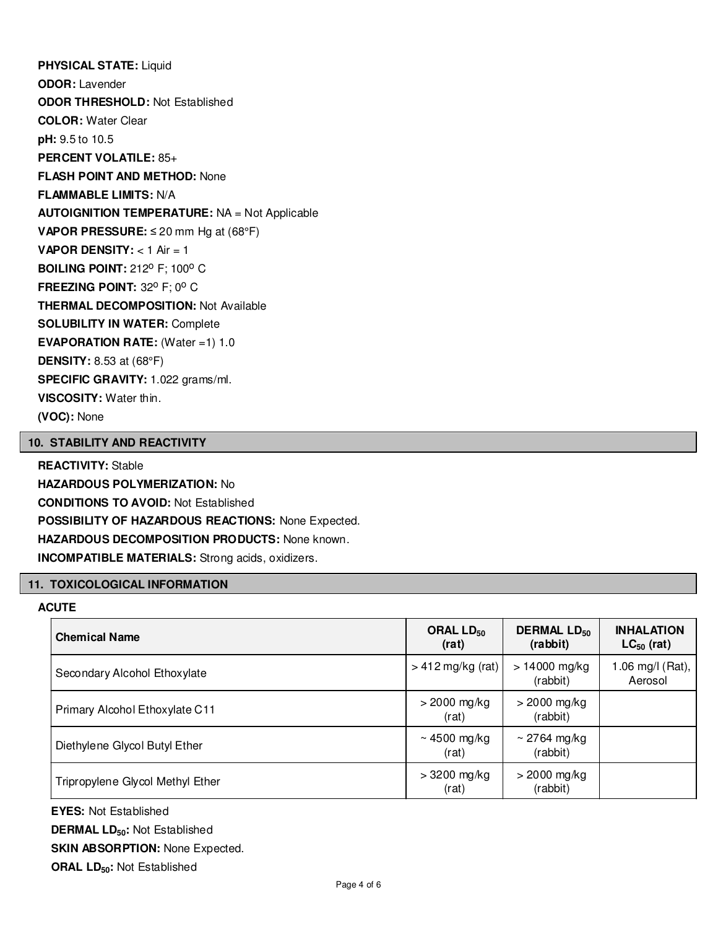**PHYSICAL STATE:** Liquid **ODOR:** Lavender **ODOR THRESHOLD:** Not Established **COLOR:** Water Clear **pH:** 9.5 to 10.5 **PERCENT VOLATILE:** 85+ **FLASH POINT AND METHOD:** None **FLAMMABLE LIMITS:** N/A **AUTOIGNITION TEMPERATURE:** NA = Not Applicable **VAPOR PRESSURE:** ≤ 20 mm Hg at (68°F) **VAPOR DENSITY:** < 1 Air = 1 **BOILING POINT: 212° F; 100° C FREEZING POINT: 32° F; 0° C THERMAL DECOMPOSITION:** Not Available **SOLUBILITY IN WATER:** Complete **EVAPORATION RATE:** (Water =1) 1.0 **DENSITY:** 8.53 at (68°F) **SPECIFIC GRAVITY:** 1.022 grams/ml. **VISCOSITY:** Water thin. **(VOC):** None

# **10. STABILITY AND REACTIVITY**

**REACTIVITY:** Stable **HAZARDOUS POLYMERIZATION:** No **CONDITIONS TO AVOID:** Not Established **POSSIBILITY OF HAZARDOUS REACTIONS:** None Expected. **HAZARDOUS DECOMPOSITION PRODUCTS:** None known. **INCOMPATIBLE MATERIALS:** Strong acids, oxidizers.

# **11. TOXICOLOGICAL INFORMATION**

# **ACUTE**

| <b>Chemical Name</b>             | ORAL $LD_{50}$<br>(rat) | <b>DERMAL LD<sub>50</sub></b><br>(rabbit) | <b>INHALATION</b><br>$LC_{50}$ (rat) |
|----------------------------------|-------------------------|-------------------------------------------|--------------------------------------|
| Secondary Alcohol Ethoxylate     | $> 412$ mg/kg (rat)     | $> 14000$ mg/kg<br>(rabbit)               | .06 mg/l (Rat),<br>Aerosol           |
| Primary Alcohol Ethoxylate C11   | $>$ 2000 mg/kg<br>(rat) | $>$ 2000 mg/kg<br>(rabbit)                |                                      |
| Diethylene Glycol Butyl Ether    | ~4500 mg/kg<br>(rat)    | $\sim$ 2764 mg/kg<br>(rabbit)             |                                      |
| Tripropylene Glycol Methyl Ether | $>3200$ mg/kg<br>(rat)  | $>$ 2000 mg/kg<br>(rabbit)                |                                      |

**EYES:** Not Established **DERMAL LD50:** Not Established **SKIN ABSORPTION: None Expected. ORAL LD50:** Not Established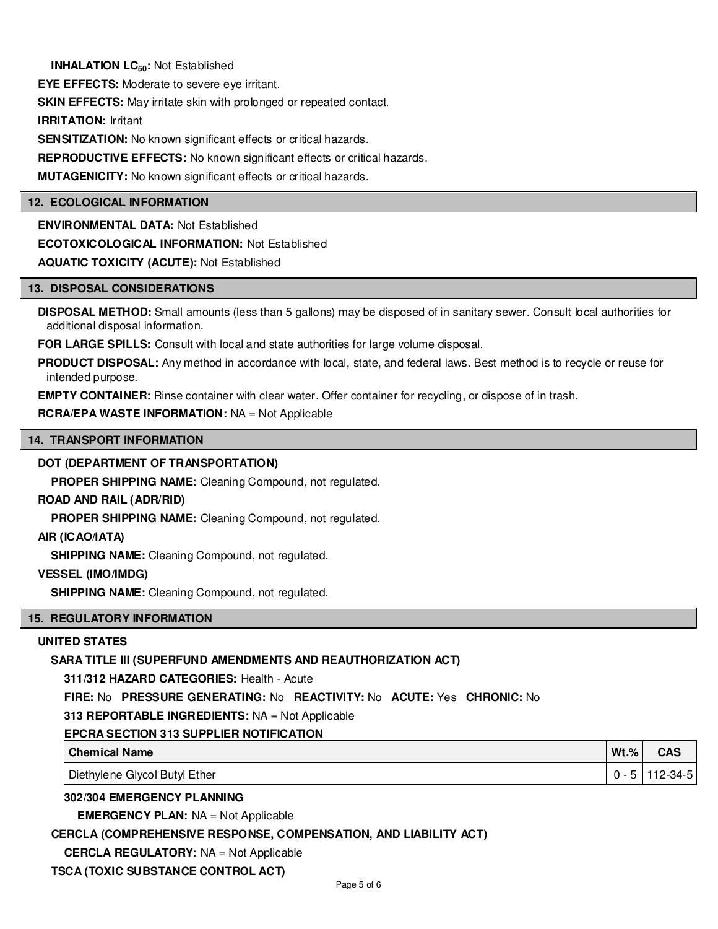**INHALATION LC50:** Not Established

**EYE EFFECTS:** Moderate to severe eye irritant.

**SKIN EFFECTS:** May irritate skin with prolonged or repeated contact.

**IRRITATION:** Irritant

**SENSITIZATION:** No known significant effects or critical hazards.

**REPRODUCTIVE EFFECTS:** No known significant effects or critical hazards.

**MUTAGENICITY:** No known significant effects or critical hazards.

#### **12. ECOLOGICAL INFORMATION**

**ENVIRONMENTAL DATA:** Not Established **ECOTOXICOLOGICAL INFORMATION:** Not Established **AQUATIC TOXICITY (ACUTE):** Not Established

#### **13. DISPOSAL CONSIDERATIONS**

**DISPOSAL METHOD:** Small amounts (less than 5 gallons) may be disposed of in sanitary sewer. Consult local authorities for additional disposal information.

**FOR LARGE SPILLS:** Consult with local and state authorities for large volume disposal.

**PRODUCT DISPOSAL:** Any method in accordance with local, state, and federal laws. Best method is to recycle or reuse for intended purpose.

**EMPTY CONTAINER:** Rinse container with clear water. Offer container for recycling, or dispose of in trash.

**RCRA/EPA WASTE INFORMATION:** NA = Not Applicable

#### **14. TRANSPORT INFORMATION**

#### **DOT (DEPARTMENT OF TRANSPORTATION)**

**PROPER SHIPPING NAME:** Cleaning Compound, not regulated.

#### **ROAD AND RAIL (ADR/RID)**

**PROPER SHIPPING NAME:** Cleaning Compound, not regulated.

**AIR (ICAO/IATA)**

**SHIPPING NAME:** Cleaning Compound, not regulated.

#### **VESSEL (IMO/IMDG)**

**SHIPPING NAME:** Cleaning Compound, not regulated.

#### **15. REGULATORY INFORMATION**

#### **UNITED STATES**

#### **SARA TITLE III (SUPERFUND AMENDMENTS AND REAUTHORIZATION ACT)**

**311/312 HAZARD CATEGORIES:** Health - Acute

**FIRE:** No **PRESSURE GENERATING:** No **REACTIVITY:** No **ACUTE:** Yes **CHRONIC:** No

#### **313 REPORTABLE INGREDIENTS:** NA = Not Applicable

#### **EPCRA SECTION 313 SUPPLIER NOTIFICATION**

| <b>Chemical Name</b>          | $Wt.\%$ | <b>CAS</b> |
|-------------------------------|---------|------------|
| Diethylene Glycol Butyl Ether | $0 - 5$ | 112-34-5   |

#### **302/304 EMERGENCY PLANNING**

**EMERGENCY PLAN:** NA = Not Applicable

#### **CERCLA (COMPREHENSIVE RESPONSE, COMPENSATION, AND LIABILITY ACT)**

**CERCLA REGULATORY:** NA = Not Applicable

**TSCA (TOXIC SUBSTANCE CONTROL ACT)**